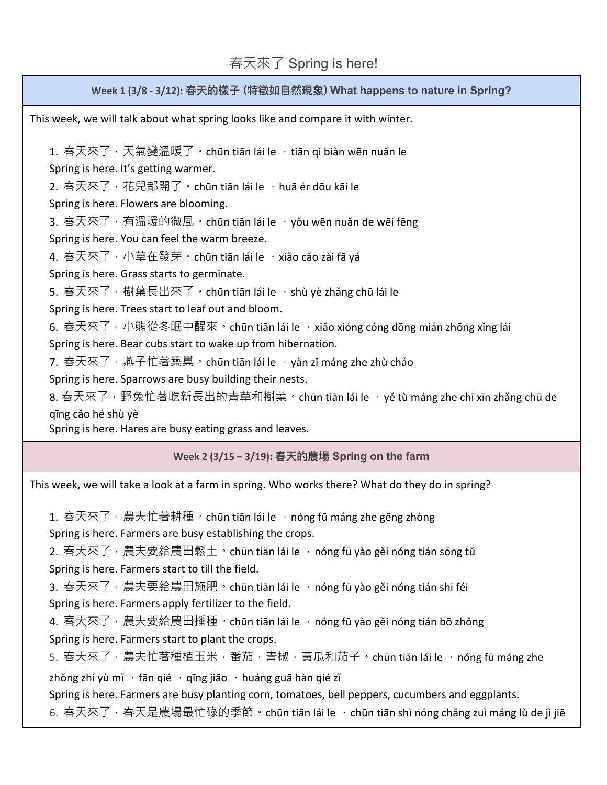## 春天來了 Spring is here!

**Week 1 (3/8 - 3/12): 春天的樣⼦ (特徵如⾃然現象) What happens to nature in Spring?**

This week, we will talk about what spring looks like and compare it with winter.

1. 春天來了,天氣變溫暖了。chūn tiān lái le ,tiān qì biàn wēn nuǎn le Spring is here. It's getting warmer. 2. 春天來了,花兒都開了。chūn tiān lái le ,huā ér dōu kāi le Spring is here. Flowers are blooming. 3. 春天來了,有溫暖的微風。chūn tiān lái le ,yǒu wēn nuǎn de wēi fēng Spring is here. You can feel the warm breeze. 4. 春天來了,小草在發芽。chūn tiān lái le ,xiǎo cǎo zài fā yá Spring is here. Grass starts to germinate. 5. 春天來了,樹葉長出來了。chūn tiān lái le ,shù yè zhǎng chū lái le Spring is here. Trees start to leaf out and bloom. 6. 春天來了, 小熊從冬眠中醒來。chūn tiān lái le , xiǎo xióng cóng dōng mián zhōng xǐng lái Spring is here. Bear cubs start to wake up from hibernation. 7. 春天來了,燕子忙著築巢。chūn tiān lái le ,yàn zǐ máng zhe zhù cháo Spring is here. Sparrows are busy building their nests. 8. 春天來了,野兔忙著吃新長出的青草和樹葉。chūn tiān lái le ,yě tù máng zhe chī xīn zhǎng chū de qīng cǎo hé shù yè Spring is here. Hares are busy eating grass and leaves.

**Week 2 (3/15 – 3/19): 春天的農場 Spring on the farm**

This week, we will take a look at a farm in spring. Who works there? What do they do in spring?

1. 春天來了,農夫忙著耕種。chūn tiān lái le ,nóng fū máng zhe gēng zhòng Spring is here. Farmers are busy establishing the crops.

2. 春天來了,農夫要給農田鬆土。chūn tiān lái le ,nóng fū yào gěi nóng tián sōng tǔ Spring is here. Farmers start to till the field.

3. 春天來了, 農夫要給農田施肥。chūn tiān lái le , nóng fū yào gěi nóng tián shī féi

Spring is here. Farmers apply fertilizer to the field.

4. 春天來了, 農夫要給農田播種。chūn tiān lái le ,nóng fū yào gěi nóng tián bō zhǒng Spring is here. Farmers start to plant the crops.

5. 春天來了,農夫忙著種植玉米,番茄,青椒,黃瓜和茄子。chūn tiān lái le ,nóng fū máng zhe zhǒng zhí yù mǐ  $\cdot$  fān qié  $\cdot$  qīng jiāo  $\cdot$  huáng guā hàn qié zǐ

Spring is here. Farmers are busy planting corn, tomatoes, bell peppers, cucumbers and eggplants.

6. 春天來了,春天是農場最忙碌的季節。chūn tiān lái le ,chūn tiān shì nóng chǎng zuì máng lù de jì jiē